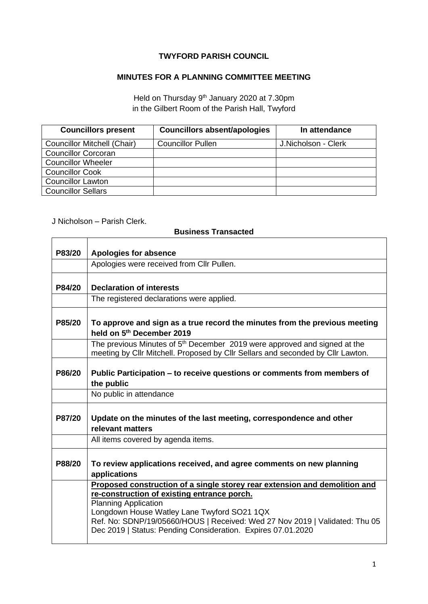## **TWYFORD PARISH COUNCIL**

## **MINUTES FOR A PLANNING COMMITTEE MEETING**

Held on Thursday 9<sup>th</sup> January 2020 at 7.30pm in the Gilbert Room of the Parish Hall, Twyford

| <b>Councillors present</b>         | <b>Councillors absent/apologies</b> | In attendance       |
|------------------------------------|-------------------------------------|---------------------|
| <b>Councillor Mitchell (Chair)</b> | <b>Councillor Pullen</b>            | J.Nicholson - Clerk |
| <b>Councillor Corcoran</b>         |                                     |                     |
| <b>Councillor Wheeler</b>          |                                     |                     |
| <b>Councillor Cook</b>             |                                     |                     |
| <b>Councillor Lawton</b>           |                                     |                     |
| <b>Councillor Sellars</b>          |                                     |                     |

## J Nicholson – Parish Clerk.

## **Business Transacted**

|        | лиэппсээ гтанэасса                                                                                                                                                       |  |  |
|--------|--------------------------------------------------------------------------------------------------------------------------------------------------------------------------|--|--|
| P83/20 | <b>Apologies for absence</b>                                                                                                                                             |  |  |
|        | Apologies were received from Cllr Pullen.                                                                                                                                |  |  |
| P84/20 | <b>Declaration of interests</b>                                                                                                                                          |  |  |
|        |                                                                                                                                                                          |  |  |
|        | The registered declarations were applied.                                                                                                                                |  |  |
| P85/20 | To approve and sign as a true record the minutes from the previous meeting<br>held on 5 <sup>th</sup> December 2019                                                      |  |  |
|        | The previous Minutes of 5 <sup>th</sup> December 2019 were approved and signed at the<br>meeting by Cllr Mitchell. Proposed by Cllr Sellars and seconded by Cllr Lawton. |  |  |
| P86/20 | Public Participation – to receive questions or comments from members of<br>the public                                                                                    |  |  |
|        | No public in attendance                                                                                                                                                  |  |  |
| P87/20 | Update on the minutes of the last meeting, correspondence and other<br>relevant matters                                                                                  |  |  |
|        | All items covered by agenda items.                                                                                                                                       |  |  |
| P88/20 | To review applications received, and agree comments on new planning<br>applications                                                                                      |  |  |
|        | Proposed construction of a single storey rear extension and demolition and                                                                                               |  |  |
|        | re-construction of existing entrance porch.                                                                                                                              |  |  |
|        | <b>Planning Application</b>                                                                                                                                              |  |  |
|        | Longdown House Watley Lane Twyford SO21 1QX                                                                                                                              |  |  |
|        | Ref. No: SDNP/19/05660/HOUS   Received: Wed 27 Nov 2019   Validated: Thu 05<br>Dec 2019   Status: Pending Consideration. Expires 07.01.2020                              |  |  |
|        |                                                                                                                                                                          |  |  |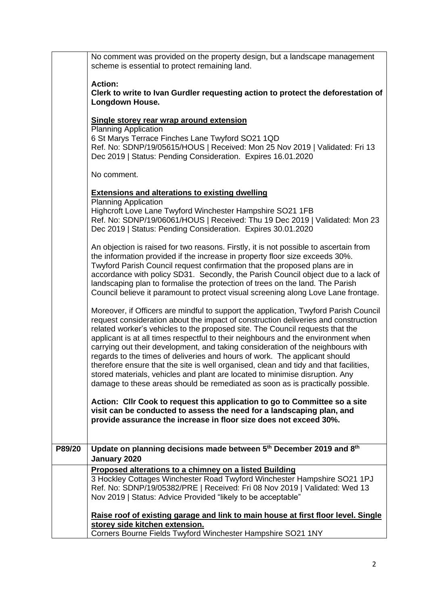|        | No comment was provided on the property design, but a landscape management<br>scheme is essential to protect remaining land.                                                                    |
|--------|-------------------------------------------------------------------------------------------------------------------------------------------------------------------------------------------------|
|        | <b>Action:</b>                                                                                                                                                                                  |
|        | Clerk to write to Ivan Gurdler requesting action to protect the deforestation of<br>Longdown House.                                                                                             |
|        |                                                                                                                                                                                                 |
|        | Single storey rear wrap around extension                                                                                                                                                        |
|        | <b>Planning Application</b>                                                                                                                                                                     |
|        | 6 St Marys Terrace Finches Lane Twyford SO21 1QD<br>Ref. No: SDNP/19/05615/HOUS   Received: Mon 25 Nov 2019   Validated: Fri 13<br>Dec 2019   Status: Pending Consideration. Expires 16.01.2020 |
|        |                                                                                                                                                                                                 |
|        | No comment.                                                                                                                                                                                     |
|        | <b>Extensions and alterations to existing dwelling</b>                                                                                                                                          |
|        | <b>Planning Application</b>                                                                                                                                                                     |
|        | Highcroft Love Lane Twyford Winchester Hampshire SO21 1FB                                                                                                                                       |
|        | Ref. No: SDNP/19/06061/HOUS   Received: Thu 19 Dec 2019   Validated: Mon 23<br>Dec 2019   Status: Pending Consideration. Expires 30.01.2020                                                     |
|        | An objection is raised for two reasons. Firstly, it is not possible to ascertain from                                                                                                           |
|        | the information provided if the increase in property floor size exceeds 30%.                                                                                                                    |
|        | Twyford Parish Council request confirmation that the proposed plans are in                                                                                                                      |
|        | accordance with policy SD31. Secondly, the Parish Council object due to a lack of                                                                                                               |
|        | landscaping plan to formalise the protection of trees on the land. The Parish                                                                                                                   |
|        | Council believe it paramount to protect visual screening along Love Lane frontage.                                                                                                              |
|        | Moreover, if Officers are mindful to support the application, Twyford Parish Council                                                                                                            |
|        | request consideration about the impact of construction deliveries and construction                                                                                                              |
|        | related worker's vehicles to the proposed site. The Council requests that the                                                                                                                   |
|        | applicant is at all times respectful to their neighbours and the environment when                                                                                                               |
|        | carrying out their development, and taking consideration of the neighbours with                                                                                                                 |
|        | regards to the times of deliveries and hours of work. The applicant should                                                                                                                      |
|        | therefore ensure that the site is well organised, clean and tidy and that facilities,<br>stored materials, vehicles and plant are located to minimise disruption. Any                           |
|        | damage to these areas should be remediated as soon as is practically possible.                                                                                                                  |
|        |                                                                                                                                                                                                 |
|        | Action: Cllr Cook to request this application to go to Committee so a site                                                                                                                      |
|        | visit can be conducted to assess the need for a landscaping plan, and                                                                                                                           |
|        | provide assurance the increase in floor size does not exceed 30%.                                                                                                                               |
|        |                                                                                                                                                                                                 |
| P89/20 | Update on planning decisions made between 5 <sup>th</sup> December 2019 and 8 <sup>th</sup>                                                                                                     |
|        | January 2020                                                                                                                                                                                    |
|        | Proposed alterations to a chimney on a listed Building                                                                                                                                          |
|        | 3 Hockley Cottages Winchester Road Twyford Winchester Hampshire SO21 1PJ                                                                                                                        |
|        | Ref. No: SDNP/19/05382/PRE   Received: Fri 08 Nov 2019   Validated: Wed 13                                                                                                                      |
|        | Nov 2019   Status: Advice Provided "likely to be acceptable"                                                                                                                                    |
|        | Raise roof of existing garage and link to main house at first floor level. Single                                                                                                               |
|        | storey side kitchen extension.                                                                                                                                                                  |
|        | Corners Bourne Fields Twyford Winchester Hampshire SO21 1NY                                                                                                                                     |